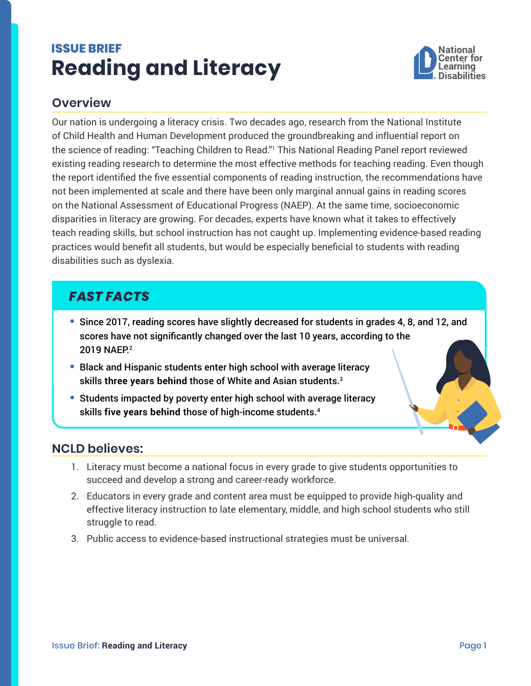# <span id="page-0-0"></span>**ISSUE BRIEF Reading and Literacy**



#### **Overview**

Our nation is undergoing a literacy crisis. Two decades ago, research from the National Institute of Child Health and Human Development produced the groundbreaking and influential report on the science of reading: "Teaching Children to Read."[1](#page-1-0) This National Reading Panel report reviewed existing reading research to determine the most effective methods for teaching reading. Even though the report identified the five essential components of reading instruction, the recommendations have not been implemented at scale and there have been only marginal annual gains in reading scores on the National Assessment of Educational Progress (NAEP). At the same time, socioeconomic disparities in literacy are growing. For decades, experts have known what it takes to effectively teach reading skills, but school instruction has not caught up. Implementing evidence-based reading practices would benefit all students, but would be especially beneficial to students with reading disabilities such as dyslexia.

## *FAST FACTS*

- **•** Since 2017, reading scores have slightly decreased for students in grades 4, 8, and 12, and scores have not significantly changed over the last 10 years, according to the 2019 NAEP.<sup>2</sup>
- **•** Black and Hispanic students enter high school with average literacy skills three years behind those of White and Asian students.<sup>[3](#page-1-0)</sup>
- **•** Students impacted by poverty enter high school with average literacy skills **five years behind** those of high-income students.[4](#page-1-0)

#### **NCLD believes:**

- 1. Literacy must become a national focus in every grade to give students opportunities to succeed and develop a strong and career-ready workforce.
- 2. Educators in every grade and content area must be equipped to provide high-quality and effective literacy instruction to late elementary, middle, and high school students who still struggle to read.
- 3. Public access to evidence-based instructional strategies must be universal.